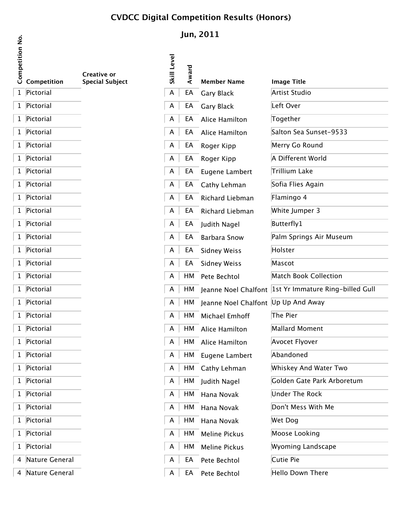## **CVDCC Digital Competition Results (Honors)**

| <b>Competition No.</b> | Competition    | Creative or<br><b>Special Subject</b> |
|------------------------|----------------|---------------------------------------|
| $\mathbf{1}$           | Pictorial      |                                       |
| $\mathbf 1$            | Pictorial      |                                       |
| 1                      | Pictorial      |                                       |
| 1                      | Pictorial      |                                       |
| $\mathbf 1$            | Pictorial      |                                       |
| 1                      | Pictorial      |                                       |
| 1                      | Pictorial      |                                       |
| $\mathbf 1$            | Pictorial      |                                       |
| 1                      | Pictorial      |                                       |
| 1                      | Pictorial      |                                       |
| $\mathbf 1$            | Pictorial      |                                       |
| $\mathbf 1$            | Pictorial      |                                       |
| 1                      | Pictorial      |                                       |
| $\mathbf 1$            | Pictorial      |                                       |
| 1                      | Pictorial      |                                       |
| 1                      | Pictorial      |                                       |
| 1                      | Pictorial      |                                       |
| 1                      | Pictorial      |                                       |
| 1                      | Pictorial      |                                       |
| $\mathbf 1$            | Pictorial      |                                       |
| 1                      | Pictorial      |                                       |
| 1                      | Pictorial      |                                       |
| $\mathbf 1$            | Pictorial      |                                       |
| $\mathbf 1$            | Pictorial      |                                       |
| 1                      | Pictorial      |                                       |
| $\mathbf 1$            | Pictorial      |                                       |
| $\mathbf 1$            | Pictorial      |                                       |
| 1                      | Pictorial      |                                       |
| 4                      | Nature General |                                       |
| 4                      | Nature General |                                       |

## **Jun, 2011**

| <u>.e.</u><br>and<br>and<br>competition<br>competition |                                       | Skill Level |       |                                        |                                                           |
|--------------------------------------------------------|---------------------------------------|-------------|-------|----------------------------------------|-----------------------------------------------------------|
|                                                        | Creative or<br><b>Special Subject</b> |             | Award | <b>Member Name</b>                     | <b>Image Title</b>                                        |
| 1 Pictorial                                            |                                       | A           | EA    | <b>Gary Black</b>                      | Artist Studio                                             |
| 1 Pictorial                                            |                                       | A           | EA    | <b>Gary Black</b>                      | Left Over                                                 |
| 1 Pictorial                                            |                                       | A           | EA    | Alice Hamilton                         | Together                                                  |
| 1 Pictorial                                            |                                       | A           | EA    | Alice Hamilton                         | Salton Sea Sunset-9533                                    |
| 1 Pictorial                                            |                                       | A           | EA    | Roger Kipp                             | Merry Go Round                                            |
| 1 Pictorial                                            |                                       | A           | EA    | Roger Kipp                             | A Different World                                         |
| 1 Pictorial                                            |                                       | A           | EA    | Eugene Lambert                         | Trillium Lake                                             |
| 1 Pictorial                                            |                                       | A           | EA    | Cathy Lehman                           | Sofia Flies Again                                         |
| 1 Pictorial                                            |                                       | A           | EA    | Richard Liebman                        | Flamingo 4                                                |
| 1 Pictorial                                            |                                       | A           | EA    | Richard Liebman                        | White Jumper 3                                            |
| 1 Pictorial                                            |                                       | A           | EA    | Judith Nagel                           | Butterfly1                                                |
| 1 Pictorial                                            |                                       | A           | EA    | <b>Barbara Snow</b>                    | Palm Springs Air Museum                                   |
| 1 Pictorial                                            |                                       | A           | EA    | <b>Sidney Weiss</b>                    | Holster                                                   |
| 1 Pictorial                                            |                                       | A           | EA    | <b>Sidney Weiss</b>                    | Mascot                                                    |
| 1 Pictorial                                            |                                       | A           |       | HM Pete Bechtol                        | Match Book Collection                                     |
| 1 Pictorial                                            |                                       | A           |       |                                        | HM Jeanne Noel Chalfont  1st Yr Immature Ring-billed Gull |
| 1 Pictorial                                            |                                       | A           |       | HM Jeanne Noel Chalfont Up Up And Away |                                                           |
| 1 Pictorial                                            |                                       | A           | HМ    | Michael Emhoff                         | The Pier                                                  |
| 1 Pictorial                                            |                                       | A           | HМ    | Alice Hamilton                         | Mallard Moment                                            |
| 1 Pictorial                                            |                                       | A           |       | HM Alice Hamilton                      | Avocet Flyover                                            |
| 1 Pictorial                                            |                                       | A           | HM    | Eugene Lambert                         | Abandoned                                                 |
| 1 Pictorial                                            |                                       | A           |       | HM Cathy Lehman                        | Whiskey And Water Two                                     |
| 1 Pictorial                                            |                                       | A           |       | HM Judith Nagel                        | Golden Gate Park Arboretum                                |
| 1 Pictorial                                            |                                       | A           |       | HM Hana Novak                          | <b>Under The Rock</b>                                     |
| 1 Pictorial                                            |                                       | A           |       | HM Hana Novak                          | Don't Mess With Me                                        |
| 1 Pictorial                                            |                                       | A           |       | HM Hana Novak                          | Wet Dog                                                   |
| 1 Pictorial                                            |                                       | A           | HM    | Meline Pickus                          | Moose Looking                                             |
| 1 Pictorial                                            |                                       | A           | HM    | Meline Pickus                          | Wyoming Landscape                                         |
| 4 Nature General                                       |                                       | A           | EA    | Pete Bechtol                           | Cutie Pie                                                 |
| 4 Nature General                                       |                                       | A           | EA    | Pete Bechtol                           | Hello Down There                                          |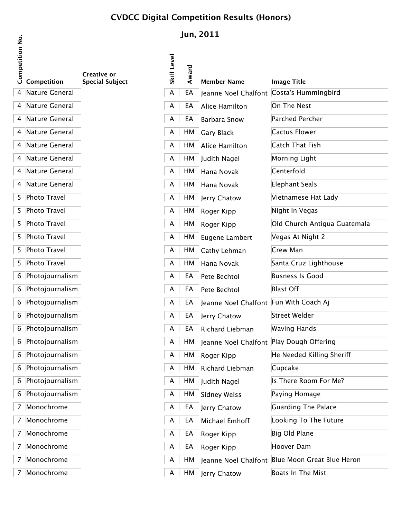## **CVDCC Digital Competition Results (Honors)**

**Jun, 2011**

| Competition No. | Competition           | Creative or<br><b>Special Subject</b> |
|-----------------|-----------------------|---------------------------------------|
| 4               | Nature General        |                                       |
| 4               | <b>Nature General</b> |                                       |
| 4               | Nature General        |                                       |
| 4               | <b>Nature General</b> |                                       |
| 4               | <b>Nature General</b> |                                       |
| 4               | <b>Nature General</b> |                                       |
| 4               | <b>Nature General</b> |                                       |
| 4               | Nature General        |                                       |
| 5               | <b>Photo Travel</b>   |                                       |
| 5               | <b>Photo Travel</b>   |                                       |
| 5               | Photo Travel          |                                       |
| 5               | <b>Photo Travel</b>   |                                       |
| 5               | <b>Photo Travel</b>   |                                       |
| 5               | Photo Travel          |                                       |
| 6               | Photojournalism       |                                       |
| 6               | Photojournalism       |                                       |
| 6               | Photojournalism       |                                       |
| 6               | Photojournalism       |                                       |
| 6               | Photojournalism       |                                       |
| 6               | Photojournalism       |                                       |
| 6               | Photojournalism       |                                       |
| 6               | Photojournalism       |                                       |
| 6               | Photojournalism       |                                       |
| 6               | Photojournalism       |                                       |
| 7               | Monochrome            |                                       |
| 7               | Monochrome            |                                       |
| 7               | Monochrome            |                                       |
| 7               | Monochrome            |                                       |
| 7               | Monochrome            |                                       |

| Competitio | Competition       | <b>Creative or</b><br><b>Special Subject</b> | Skill Level | Award | <b>Member Name</b>                         | <b>Image Title</b>                              |
|------------|-------------------|----------------------------------------------|-------------|-------|--------------------------------------------|-------------------------------------------------|
|            | 4 Nature General  |                                              | A           | EA    | Jeanne Noel Chalfont                       | Costa's Hummingbird                             |
|            | 4 Nature General  |                                              | A           | EA    | Alice Hamilton                             | On The Nest                                     |
|            | 4 Nature General  |                                              | A           | EA    | <b>Barbara Snow</b>                        | Parched Percher                                 |
|            | 4 Nature General  |                                              | A           | HM    | <b>Gary Black</b>                          | Cactus Flower                                   |
|            | 4 Nature General  |                                              | A           | HM    | Alice Hamilton                             | Catch That Fish                                 |
|            | 4 Nature General  |                                              | A           | HM    | Judith Nagel                               | Morning Light                                   |
|            | 4 Nature General  |                                              | A           | HM    | Hana Novak                                 | Centerfold                                      |
|            | 4 Nature General  |                                              | A           | HM    | Hana Novak                                 | Elephant Seals                                  |
|            | 5 Photo Travel    |                                              | A           | HM    | Jerry Chatow                               | Vietnamese Hat Lady                             |
|            | 5 Photo Travel    |                                              | A           | HM    | Roger Kipp                                 | Night In Vegas                                  |
|            | 5 Photo Travel    |                                              | A           | HM    | Roger Kipp                                 | Old Church Antigua Guatemala                    |
|            | 5 Photo Travel    |                                              | A           | HM    | Eugene Lambert                             | Vegas At Night 2                                |
|            | 5 Photo Travel    |                                              | A           | HM    | Cathy Lehman                               | Crew Man                                        |
|            | 5 Photo Travel    |                                              | A           | HM    | Hana Novak                                 | Santa Cruz Lighthouse                           |
|            | 6 Photojournalism |                                              | A           | EA    | Pete Bechtol                               | <b>Busness Is Good</b>                          |
|            | 6 Photojournalism |                                              | A           | EA    | Pete Bechtol                               | <b>Blast Off</b>                                |
|            | 6 Photojournalism |                                              | A           | EA    | Jeanne Noel Chalfont Fun With Coach Aj     |                                                 |
|            | 6 Photojournalism |                                              | A           | EA    | Jerry Chatow                               | Street Welder                                   |
|            | 6 Photojournalism |                                              | A           | EA    | Richard Liebman                            | <b>Waving Hands</b>                             |
|            | 6 Photojournalism |                                              | A           | HМ    | Jeanne Noel Chalfont   Play Dough Offering |                                                 |
|            | 6 Photojournalism |                                              | A           | HM    | Roger Kipp                                 | He Needed Killing Sheriff                       |
|            | 6 Photojournalism |                                              | A           | HM    | Richard Liebman                            | Cupcake                                         |
|            | 6 Photojournalism |                                              | A           | HM    | Judith Nagel                               | Is There Room For Me?                           |
|            | 6 Photojournalism |                                              | A           | HM    | <b>Sidney Weiss</b>                        | Paying Homage                                   |
|            | 7 Monochrome      |                                              | A           | EA    | Jerry Chatow                               | Guarding The Palace                             |
|            | 7 Monochrome      |                                              | A           | EA    | Michael Emhoff                             | Looking To The Future                           |
|            | 7 Monochrome      |                                              | A           | EA    | Roger Kipp                                 | Big Old Plane                                   |
|            | 7 Monochrome      |                                              | A           | EA    | Roger Kipp                                 | Hoover Dam                                      |
|            | 7 Monochrome      |                                              | A           | HМ    |                                            | Jeanne Noel Chalfont Blue Moon Great Blue Heron |
|            | 7 Monochrome      |                                              | A           | HM    | Jerry Chatow                               | Boats In The Mist                               |